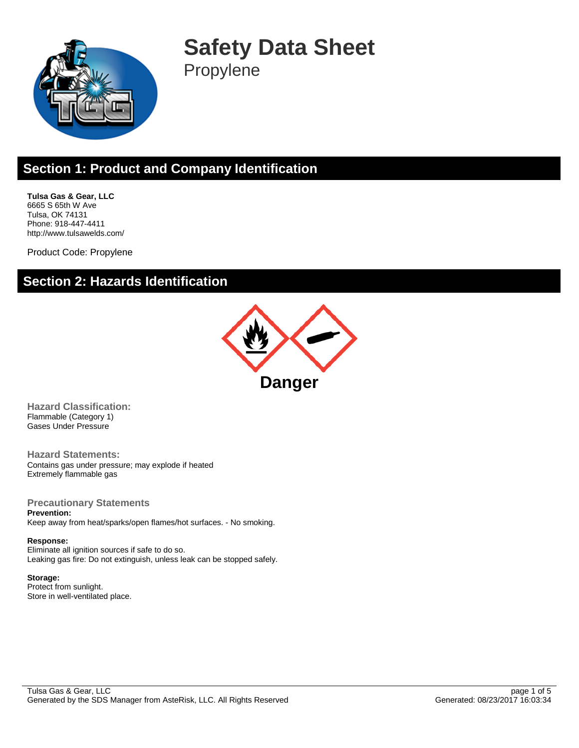

**Safety Data Sheet** Propylene

#### **Section 1: Product and Company Identification**

**Tulsa Gas & Gear, LLC** 6665 S 65th W Ave Tulsa, OK 74131 Phone: 918-447-4411 http://www.tulsawelds.com/

Product Code: Propylene

#### **Section 2: Hazards Identification**



**Hazard Classification:** Flammable (Category 1) Gases Under Pressure

**Hazard Statements:** Contains gas under pressure; may explode if heated Extremely flammable gas

**Precautionary Statements Prevention:**

Keep away from heat/sparks/open flames/hot surfaces. - No smoking.

**Response:** Eliminate all ignition sources if safe to do so. Leaking gas fire: Do not extinguish, unless leak can be stopped safely.

**Storage:** Protect from sunlight. Store in well-ventilated place.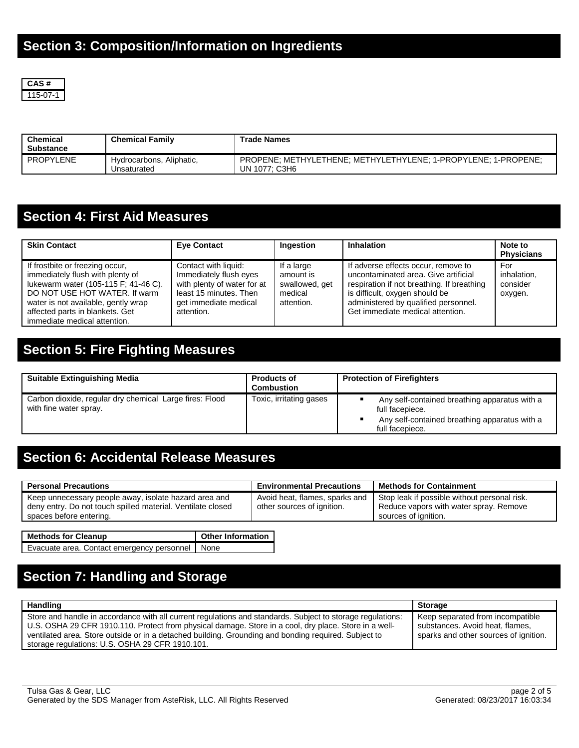

| Chemical<br><b>Substance</b> | <b>Chemical Family</b>                  | <b>Trade Names</b>                                                              |
|------------------------------|-----------------------------------------|---------------------------------------------------------------------------------|
| PROPYLENE                    | Hydrocarbons, Aliphatic,<br>Unsaturated | PROPENE: METHYLETHENE: METHYLETHYLENE: 1-PROPYLENE: 1-PROPENE:<br>UN 1077: C3H6 |

### **Section 4: First Aid Measures**

| <b>Skin Contact</b>                                                                                                                                                                                                                                    | <b>Eye Contact</b>                                                                                                                             | Ingestion                                                          | <b>Inhalation</b>                                                                                                                                                                                                                       | Note to<br><b>Physicians</b>              |
|--------------------------------------------------------------------------------------------------------------------------------------------------------------------------------------------------------------------------------------------------------|------------------------------------------------------------------------------------------------------------------------------------------------|--------------------------------------------------------------------|-----------------------------------------------------------------------------------------------------------------------------------------------------------------------------------------------------------------------------------------|-------------------------------------------|
| If frostbite or freezing occur,<br>immediately flush with plenty of<br>lukewarm water (105-115 F; 41-46 C).<br>DO NOT USE HOT WATER. If warm<br>water is not available, gently wrap<br>affected parts in blankets. Get<br>immediate medical attention. | Contact with liquid:<br>Immediately flush eyes<br>with plenty of water for at<br>least 15 minutes. Then<br>get immediate medical<br>attention. | If a large<br>amount is<br>swallowed, get<br>medical<br>attention. | If adverse effects occur, remove to<br>uncontaminated area. Give artificial<br>respiration if not breathing. If breathing<br>is difficult, oxygen should be<br>administered by qualified personnel.<br>Get immediate medical attention. | For<br>inhalation.<br>consider<br>oxygen. |

### **Section 5: Fire Fighting Measures**

| <b>Suitable Extinguishing Media</b>                                               | <b>Products of</b><br><b>Combustion</b> | <b>Protection of Firefighters</b>                                                                                                    |
|-----------------------------------------------------------------------------------|-----------------------------------------|--------------------------------------------------------------------------------------------------------------------------------------|
| Carbon dioxide, regular dry chemical Large fires: Flood<br>with fine water spray. | Toxic, irritating gases                 | Any self-contained breathing apparatus with a<br>full facepiece.<br>Any self-contained breathing apparatus with a<br>full facepiece. |

#### **Section 6: Accidental Release Measures**

| <b>Personal Precautions</b>                                                                                                                     | <b>Environmental Precautions</b>                             | <b>Methods for Containment</b>                                                                                 |
|-------------------------------------------------------------------------------------------------------------------------------------------------|--------------------------------------------------------------|----------------------------------------------------------------------------------------------------------------|
| Keep unnecessary people away, isolate hazard area and<br>deny entry. Do not touch spilled material. Ventilate closed<br>spaces before entering. | Avoid heat, flames, sparks and<br>other sources of ignition. | Stop leak if possible without personal risk.<br>Reduce vapors with water spray. Remove<br>sources of ignition. |

| <b>Methods for Cleanup</b>                        | <b>Other Information</b> |
|---------------------------------------------------|--------------------------|
| Evacuate area. Contact emergency personnel   None |                          |

# **Section 7: Handling and Storage**

| Handling                                                                                                                                                                                                                                                                                                                                                                       | <b>Storage</b>                                                                                               |
|--------------------------------------------------------------------------------------------------------------------------------------------------------------------------------------------------------------------------------------------------------------------------------------------------------------------------------------------------------------------------------|--------------------------------------------------------------------------------------------------------------|
| Store and handle in accordance with all current regulations and standards. Subject to storage regulations:<br>U.S. OSHA 29 CFR 1910.110. Protect from physical damage. Store in a cool, dry place. Store in a well-<br>ventilated area. Store outside or in a detached building. Grounding and bonding required. Subject to<br>storage regulations: U.S. OSHA 29 CFR 1910.101. | Keep separated from incompatible<br>substances. Avoid heat, flames,<br>sparks and other sources of ignition. |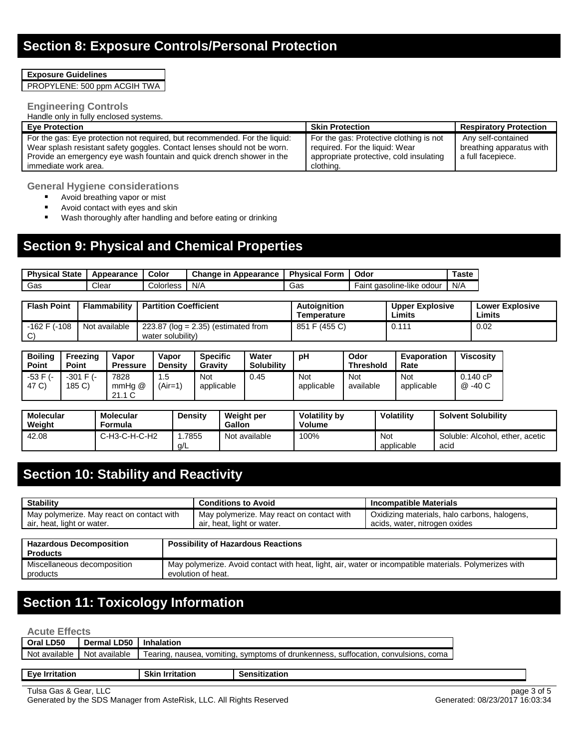**Exposure Guidelines**

PROPYLENE: 500 ppm ACGIH TWA

#### **Engineering Controls**

Handle only in fully enclosed systems.

| <b>Eve Protection</b>                                                      | <b>Skin Protection</b>                  | <b>Respiratory Protection</b> |
|----------------------------------------------------------------------------|-----------------------------------------|-------------------------------|
| For the gas: Eye protection not required, but recommended. For the liquid: | For the gas: Protective clothing is not | Any self-contained            |
| Wear splash resistant safety goggles. Contact lenses should not be worn.   | required. For the liquid: Wear          | breathing apparatus with      |
| Provide an emergency eye wash fountain and quick drench shower in the      | appropriate protective, cold insulating | a full facepiece.             |
| immediate work area.                                                       | clothing.                               |                               |

**General Hygiene considerations**

- Avoid breathing vapor or mist
- Avoid contact with eyes and skin<br>■ Wash thoroughly after handling a
- Wash thoroughly after handling and before eating or drinking

## **Section 9: Physical and Chemical Properties**

| <b>Physical State</b> | Appearance | Color     | Change<br>Appearance<br>ır | <b>Physical</b><br>™orm | Odor                           | ⊺astc |
|-----------------------|------------|-----------|----------------------------|-------------------------|--------------------------------|-------|
| Gas                   | Clear      | Colorless | N/A                        | Gas                     | aasoline-like odour ،<br>⊢ain⊾ | N/A   |

| <b>Flash Point</b>  | Flammability  | <b>Partition Coefficient</b>                               | Autoianition<br>Temperature | <b>Upper Explosive</b><br>Limits | <b>Lower Explosive</b><br>Limits |
|---------------------|---------------|------------------------------------------------------------|-----------------------------|----------------------------------|----------------------------------|
| -162 F (-108<br>∟C` | Not available | $223.87$ (log = 2.35) (estimated from<br>water solubility) | 851 F (455 C)               | 0.111                            | 0.02                             |

| <b>Boiling</b><br><b>Point</b> | Freezing<br>Point        | Vapor<br><b>Pressure</b> | Vapor<br><b>Density</b> | <b>Specific</b><br>Gravity | Water<br><b>Solubility</b> | рH                | Odor<br>Threshold | Evaporation<br>Rate      | <b>Viscositv</b>    |
|--------------------------------|--------------------------|--------------------------|-------------------------|----------------------------|----------------------------|-------------------|-------------------|--------------------------|---------------------|
| -53 F (-<br>47 C)              | $-301$ F $(-)$<br>185 C) | 7828<br>mmHa @<br>21.1C  | . .5<br>(Air=1)         | <b>Not</b><br>applicable   | 0.45                       | Not<br>applicable | Not<br>available  | <b>Not</b><br>applicable | 0.140 cP<br>@ -40 C |

| Molecular<br>Weight | Molecular<br>Formula | <b>Density</b> | <b>Weight per</b><br>Gallon | <b>Volatility by</b><br>Volume | <b>Volatility</b> | <b>Solvent Solubility</b>               |
|---------------------|----------------------|----------------|-----------------------------|--------------------------------|-------------------|-----------------------------------------|
| 42.08               | C-H3-C-H-C-H2        | 7855<br>a/L    | Not available               | 100%                           | Not<br>applicable | Soluble: Alcohol, ether, acetic<br>acid |

### **Section 10: Stability and Reactivity**

| <b>Stability</b>                                                        |  | <b>Conditions to Avoid</b>                                                                             | <b>Incompatible Materials</b>                                                 |  |  |
|-------------------------------------------------------------------------|--|--------------------------------------------------------------------------------------------------------|-------------------------------------------------------------------------------|--|--|
| May polymerize. May react on contact with<br>air, heat, light or water. |  | May polymerize. May react on contact with<br>air, heat, light or water.                                | Oxidizing materials, halo carbons, halogens,<br>acids, water, nitrogen oxides |  |  |
|                                                                         |  |                                                                                                        |                                                                               |  |  |
| <b>Hazardous Decomposition</b>                                          |  | <b>Possibility of Hazardous Reactions</b>                                                              |                                                                               |  |  |
| <b>Products</b>                                                         |  |                                                                                                        |                                                                               |  |  |
| Miscellaneous decomposition                                             |  | May polymerize. Avoid contact with heat, light, air, water or incompatible materials. Polymerizes with |                                                                               |  |  |
| products                                                                |  | evolution of heat.                                                                                     |                                                                               |  |  |

### **Section 11: Toxicology Information**

**Acute Effects**

| AGULE EITECLS                 |                          |                                                                                    |                      |  |
|-------------------------------|--------------------------|------------------------------------------------------------------------------------|----------------------|--|
| Oral LD50                     | Dermal LD50   Inhalation |                                                                                    |                      |  |
| Not available   Not available |                          | Tearing, nausea, vomiting, symptoms of drunkenness, suffocation, convulsions, coma |                      |  |
|                               |                          |                                                                                    |                      |  |
| <b>Eve Irritation</b>         |                          | <b>Skin Irritation</b>                                                             | <b>Sensitization</b> |  |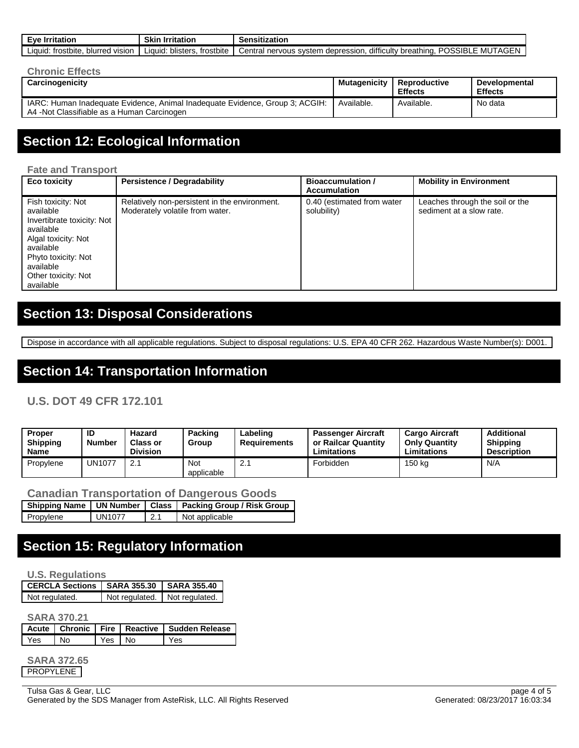| <b>Irritation</b><br>Eve                     | Skir<br><b>Irritation</b>        | Sensitization                                                                                                       |
|----------------------------------------------|----------------------------------|---------------------------------------------------------------------------------------------------------------------|
| trostbite.<br>blurred<br>∟iquid: ∟<br>VISION | frostbite<br>blisters.<br>uauid: | difficulty<br><b>`SIBL</b><br>יפרום<br>depression.<br>breathing.<br>Central<br>nervous system<br>MU<br>∕IAGEN.<br>. |

| <b>Chronic Effects</b>                                                                                                     |              |                                |                                        |
|----------------------------------------------------------------------------------------------------------------------------|--------------|--------------------------------|----------------------------------------|
| Carcinogenicity                                                                                                            | Mutagenicity | Reproductive<br><b>Effects</b> | <b>Developmental</b><br><b>Effects</b> |
| IARC: Human Inadequate Evidence, Animal Inadequate Evidence, Group 3; ACGIH:<br>A4 -Not Classifiable as a Human Carcinogen | Available.   | Available.                     | No data                                |

#### **Section 12: Ecological Information**

#### **Fate and Transport**

| Eco toxicity                                                                                                                                                                           | <b>Persistence / Degradability</b>                                               | <b>Bioaccumulation /</b><br><b>Accumulation</b> | <b>Mobility in Environment</b>                              |
|----------------------------------------------------------------------------------------------------------------------------------------------------------------------------------------|----------------------------------------------------------------------------------|-------------------------------------------------|-------------------------------------------------------------|
| Fish toxicity: Not<br>available<br>Invertibrate toxicity: Not<br>available<br>Algal toxicity: Not<br>available<br>Phyto toxicity: Not<br>available<br>Other toxicity: Not<br>available | Relatively non-persistent in the environment.<br>Moderately volatile from water. | 0.40 (estimated from water<br>solubility)       | Leaches through the soil or the<br>sediment at a slow rate. |

### **Section 13: Disposal Considerations**

Dispose in accordance with all applicable regulations. Subject to disposal regulations: U.S. EPA 40 CFR 262. Hazardous Waste Number(s): D001.

#### **Section 14: Transportation Information**

#### **U.S. DOT 49 CFR 172.101**

| <b>Proper</b><br><b>Shipping</b><br>Name | ID<br><b>Number</b> | Hazard<br><b>Class or</b><br><b>Division</b> | Packing<br>Group         | Labeling<br>Requirements | <b>Passenger Aircraft</b><br>or Railcar Quantity<br>Limitations | <b>Cargo Aircraft</b><br><b>Only Quantity</b><br>Limitations | <b>Additional</b><br><b>Shipping</b><br><b>Description</b> |
|------------------------------------------|---------------------|----------------------------------------------|--------------------------|--------------------------|-----------------------------------------------------------------|--------------------------------------------------------------|------------------------------------------------------------|
| Propylene                                | <b>JN1077</b>       | <u>.</u>                                     | <b>Not</b><br>applicable |                          | Forbidden                                                       | 150 kg                                                       | N/A                                                        |

|             | <b>Canadian Transportation of Dangerous Goods</b> |  |  |
|-------------|---------------------------------------------------|--|--|
| ---- - - -- | .                                                 |  |  |

|           |               |             | Shipping Name   UN Number   Class   Packing Group / Risk Group |
|-----------|---------------|-------------|----------------------------------------------------------------|
| Propylene | <b>UN1077</b> | $\perp$ 2.1 | Not applicable                                                 |

#### **Section 15: Regulatory Information**

#### **U.S. Regulations**

| CERCLA Sections   SARA 355.30   SARA 355.40 |                               |  |  |
|---------------------------------------------|-------------------------------|--|--|
| Not regulated.                              | Not regulated. Not regulated. |  |  |

**SARA 370.21**

|     |                |        | Acute   Chronic   Fire   Reactive   Sudden Release |
|-----|----------------|--------|----------------------------------------------------|
| Yes | N <sub>0</sub> | Yes No | l Yes                                              |

**SARA 372.65** PROPYLENE